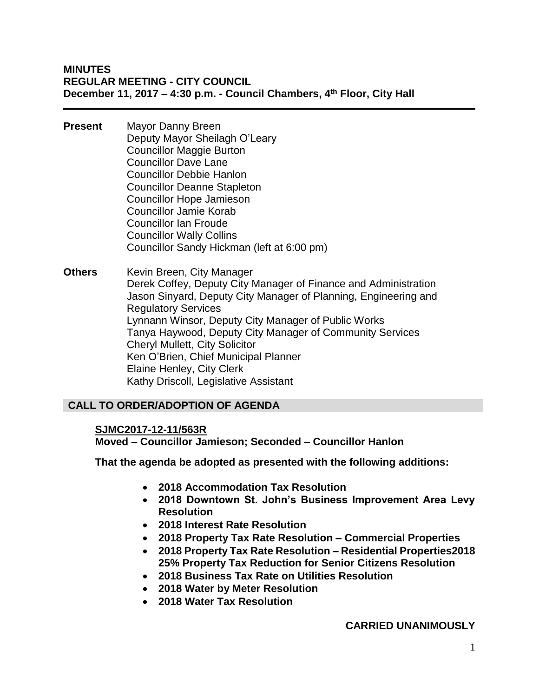- **Present** Mayor Danny Breen Deputy Mayor Sheilagh O'Leary Councillor Maggie Burton Councillor Dave Lane Councillor Debbie Hanlon Councillor Deanne Stapleton Councillor Hope Jamieson Councillor Jamie Korab Councillor Ian Froude Councillor Wally Collins Councillor Sandy Hickman (left at 6:00 pm)
- **Others** Kevin Breen, City Manager Derek Coffey, Deputy City Manager of Finance and Administration Jason Sinyard, Deputy City Manager of Planning, Engineering and Regulatory Services Lynnann Winsor, Deputy City Manager of Public Works Tanya Haywood, Deputy City Manager of Community Services Cheryl Mullett, City Solicitor Ken O'Brien, Chief Municipal Planner Elaine Henley, City Clerk Kathy Driscoll, Legislative Assistant

# **CALL TO ORDER/ADOPTION OF AGENDA**

# **SJMC2017-12-11/563R**

**Moved – Councillor Jamieson; Seconded – Councillor Hanlon**

**That the agenda be adopted as presented with the following additions:**

- **2018 Accommodation Tax Resolution**
- **2018 Downtown St. John's Business Improvement Area Levy Resolution**
- **2018 Interest Rate Resolution**
- **2018 Property Tax Rate Resolution – Commercial Properties**
- **2018 Property Tax Rate Resolution – Residential Properties2018 25% Property Tax Reduction for Senior Citizens Resolution**
- **2018 Business Tax Rate on Utilities Resolution**
- **2018 Water by Meter Resolution**
- **2018 Water Tax Resolution**

# **CARRIED UNANIMOUSLY**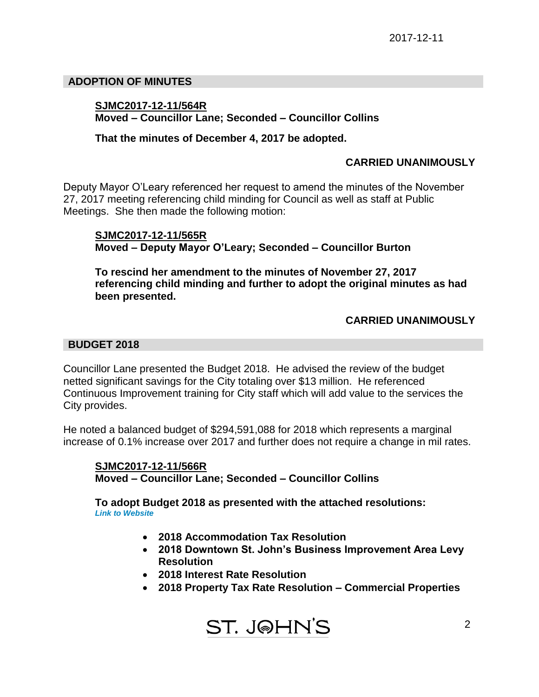### **ADOPTION OF MINUTES**

### **SJMC2017-12-11/564R Moved – Councillor Lane; Seconded – Councillor Collins**

#### **That the minutes of December 4, 2017 be adopted.**

### **CARRIED UNANIMOUSLY**

Deputy Mayor O'Leary referenced her request to amend the minutes of the November 27, 2017 meeting referencing child minding for Council as well as staff at Public Meetings. She then made the following motion:

**SJMC2017-12-11/565R Moved – Deputy Mayor O'Leary; Seconded – Councillor Burton**

**To rescind her amendment to the minutes of November 27, 2017 referencing child minding and further to adopt the original minutes as had been presented.**

### **CARRIED UNANIMOUSLY**

#### **BUDGET 2018**

Councillor Lane presented the Budget 2018. He advised the review of the budget netted significant savings for the City totaling over \$13 million. He referenced Continuous Improvement training for City staff which will add value to the services the City provides.

He noted a balanced budget of \$294,591,088 for 2018 which represents a marginal increase of 0.1% increase over 2017 and further does not require a change in mil rates.

**SJMC2017-12-11/566R Moved – Councillor Lane; Seconded – Councillor Collins**

**To adopt Budget 2018 as presented with the attached resolutions:** *Link to Website*

- **2018 Accommodation Tax Resolution**
- **2018 Downtown St. John's Business Improvement Area Levy Resolution**
- **2018 Interest Rate Resolution**
- **2018 Property Tax Rate Resolution – Commercial Properties**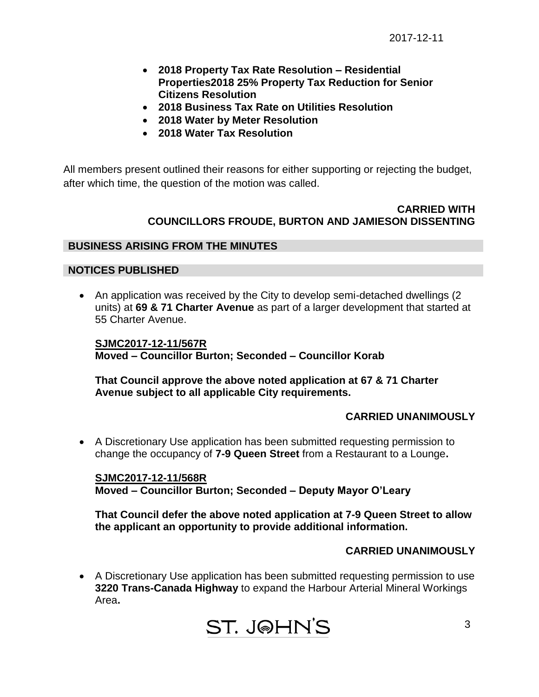- **2018 Property Tax Rate Resolution – Residential Properties2018 25% Property Tax Reduction for Senior Citizens Resolution**
- **2018 Business Tax Rate on Utilities Resolution**
- **2018 Water by Meter Resolution**
- **2018 Water Tax Resolution**

All members present outlined their reasons for either supporting or rejecting the budget, after which time, the question of the motion was called.

### **CARRIED WITH COUNCILLORS FROUDE, BURTON AND JAMIESON DISSENTING**

### **BUSINESS ARISING FROM THE MINUTES**

### **NOTICES PUBLISHED**

• An application was received by the City to develop semi-detached dwellings (2) units) at **69 & 71 Charter Avenue** as part of a larger development that started at 55 Charter Avenue.

**SJMC2017-12-11/567R Moved – Councillor Burton; Seconded – Councillor Korab**

**That Council approve the above noted application at 67 & 71 Charter Avenue subject to all applicable City requirements.**

# **CARRIED UNANIMOUSLY**

 A Discretionary Use application has been submitted requesting permission to change the occupancy of **7-9 Queen Street** from a Restaurant to a Lounge**.**

**SJMC2017-12-11/568R Moved – Councillor Burton; Seconded – Deputy Mayor O'Leary**

**That Council defer the above noted application at 7-9 Queen Street to allow the applicant an opportunity to provide additional information.**

# **CARRIED UNANIMOUSLY**

 A Discretionary Use application has been submitted requesting permission to use **3220 Trans-Canada Highway** to expand the Harbour Arterial Mineral Workings Area**.**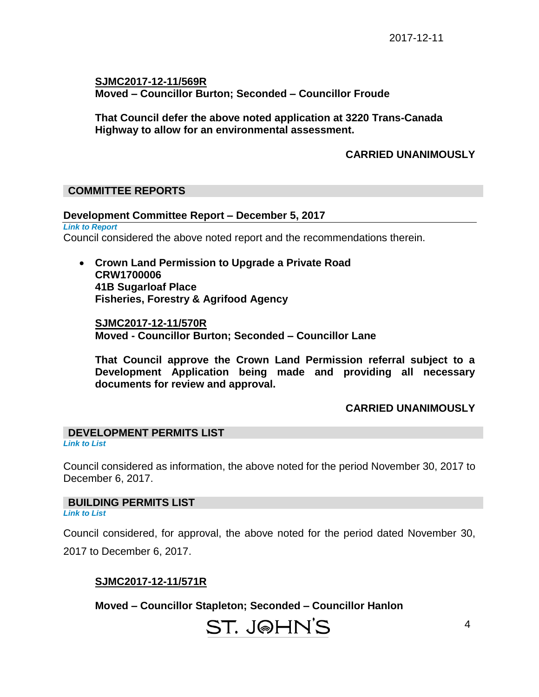**SJMC2017-12-11/569R Moved – Councillor Burton; Seconded – Councillor Froude**

**That Council defer the above noted application at 3220 Trans-Canada Highway to allow for an environmental assessment.**

# **CARRIED UNANIMOUSLY**

# **COMMITTEE REPORTS**

#### **Development Committee Report – December 5, 2017**

*Link to Report*  Council considered the above noted report and the recommendations therein.

 **Crown Land Permission to Upgrade a Private Road CRW1700006 41B Sugarloaf Place Fisheries, Forestry & Agrifood Agency**

**SJMC2017-12-11/570R Moved - Councillor Burton; Seconded – Councillor Lane**

**That Council approve the Crown Land Permission referral subject to a Development Application being made and providing all necessary documents for review and approval.**

#### **CARRIED UNANIMOUSLY**

#### **DEVELOPMENT PERMITS LIST**  *Link to List*

Council considered as information, the above noted for the period November 30, 2017 to December 6, 2017.

#### **BUILDING PERMITS LIST**

*Link to List*

Council considered, for approval, the above noted for the period dated November 30,

2017 to December 6, 2017.

#### **SJMC2017-12-11/571R**

**Moved – Councillor Stapleton; Seconded – Councillor Hanlon**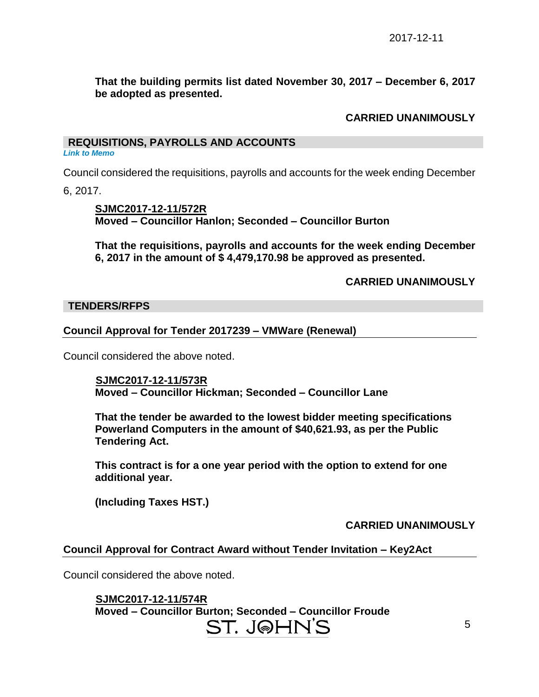**That the building permits list dated November 30, 2017 – December 6, 2017 be adopted as presented.**

# **CARRIED UNANIMOUSLY**

### **REQUISITIONS, PAYROLLS AND ACCOUNTS**

*Link to Memo*

Council considered the requisitions, payrolls and accounts for the week ending December

6, 2017.

**SJMC2017-12-11/572R Moved – Councillor Hanlon; Seconded – Councillor Burton**

**That the requisitions, payrolls and accounts for the week ending December 6, 2017 in the amount of \$ 4,479,170.98 be approved as presented.**

**CARRIED UNANIMOUSLY**

#### **TENDERS/RFPS**

### **Council Approval for Tender 2017239 – VMWare (Renewal)**

Council considered the above noted.

 **SJMC2017-12-11/573R Moved – Councillor Hickman; Seconded – Councillor Lane**

**That the tender be awarded to the lowest bidder meeting specifications Powerland Computers in the amount of \$40,621.93, as per the Public Tendering Act.**

**This contract is for a one year period with the option to extend for one additional year.**

**(Including Taxes HST.)**

**CARRIED UNANIMOUSLY**

# **Council Approval for Contract Award without Tender Invitation – Key2Act**

Council considered the above noted.

 **SJMC2017-12-11/574R Moved – Councillor Burton; Seconded – Councillor Froude**ST. J@HN'S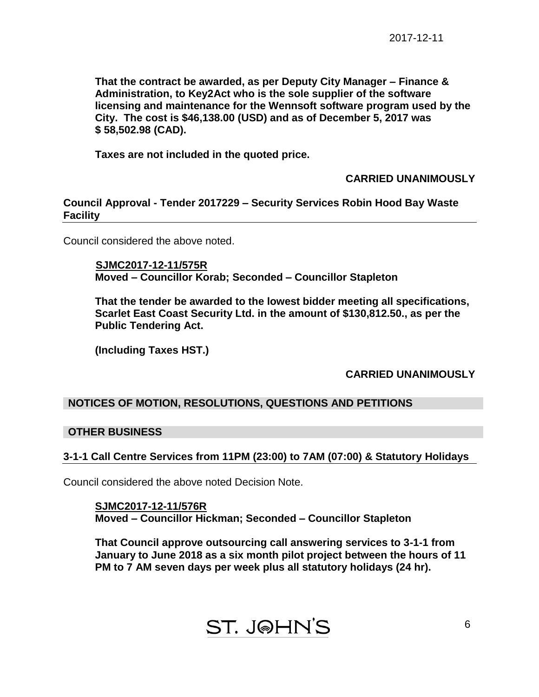**That the contract be awarded, as per Deputy City Manager – Finance & Administration, to Key2Act who is the sole supplier of the software licensing and maintenance for the Wennsoft software program used by the City. The cost is \$46,138.00 (USD) and as of December 5, 2017 was \$ 58,502.98 (CAD).**

**Taxes are not included in the quoted price.**

# **CARRIED UNANIMOUSLY**

**Council Approval - Tender 2017229 – Security Services Robin Hood Bay Waste Facility**

Council considered the above noted.

 **SJMC2017-12-11/575R Moved – Councillor Korab; Seconded – Councillor Stapleton**

**That the tender be awarded to the lowest bidder meeting all specifications, Scarlet East Coast Security Ltd. in the amount of \$130,812.50., as per the Public Tendering Act.**

**(Including Taxes HST.)**

# **CARRIED UNANIMOUSLY**

# **NOTICES OF MOTION, RESOLUTIONS, QUESTIONS AND PETITIONS**

#### **OTHER BUSINESS**

# **3-1-1 Call Centre Services from 11PM (23:00) to 7AM (07:00) & Statutory Holidays**

Council considered the above noted Decision Note.

**SJMC2017-12-11/576R Moved – Councillor Hickman; Seconded – Councillor Stapleton**

**That Council approve outsourcing call answering services to 3-1-1 from January to June 2018 as a six month pilot project between the hours of 11 PM to 7 AM seven days per week plus all statutory holidays (24 hr).**